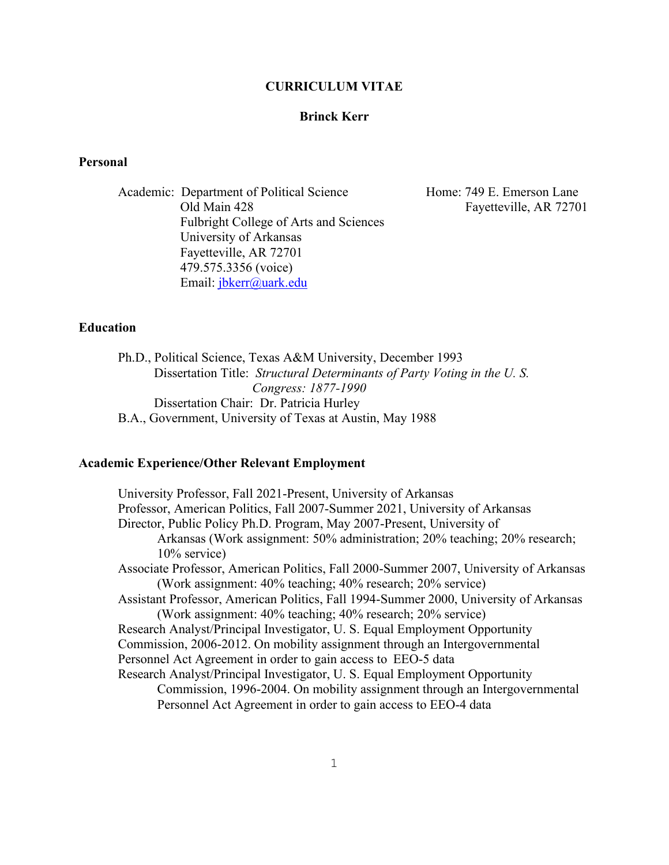#### **CURRICULUM VITAE**

# **Brinck Kerr**

# **Personal**

Academic: Department of Political Science Home: 749 E. Emerson Lane Old Main 428 Fayetteville, AR 72701 Fulbright College of Arts and Sciences University of Arkansas Fayetteville, AR 72701 479.575.3356 (voice) Email: [jbkerr@uark.edu](mailto:jbkerr@uark.edu)

# **Education**

Ph.D., Political Science, Texas A&M University, December 1993 Dissertation Title: *Structural Determinants of Party Voting in the U. S. Congress: 1877-1990* Dissertation Chair: Dr. Patricia Hurley B.A., Government, University of Texas at Austin, May 1988

#### **Academic Experience/Other Relevant Employment**

University Professor, Fall 2021-Present, University of Arkansas Professor, American Politics, Fall 2007-Summer 2021, University of Arkansas Director, Public Policy Ph.D. Program, May 2007-Present, University of Arkansas (Work assignment: 50% administration; 20% teaching; 20% research; 10% service) Associate Professor, American Politics, Fall 2000-Summer 2007, University of Arkansas (Work assignment: 40% teaching; 40% research; 20% service) Assistant Professor, American Politics, Fall 1994-Summer 2000, University of Arkansas (Work assignment: 40% teaching; 40% research; 20% service) Research Analyst/Principal Investigator, U. S. Equal Employment Opportunity Commission, 2006-2012. On mobility assignment through an Intergovernmental Personnel Act Agreement in order to gain access to EEO-5 data Research Analyst/Principal Investigator, U. S. Equal Employment Opportunity Commission, 1996-2004. On mobility assignment through an Intergovernmental Personnel Act Agreement in order to gain access to EEO-4 data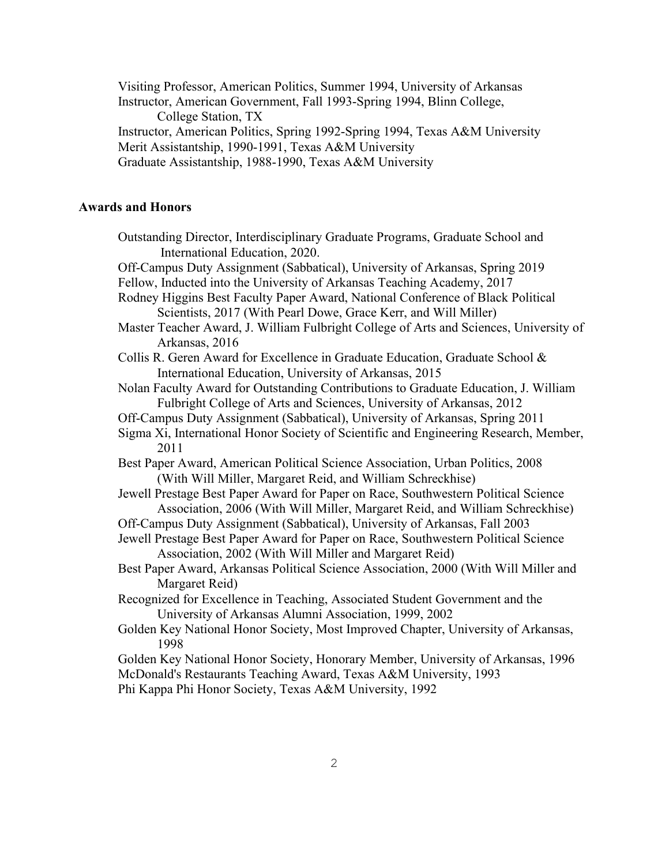Visiting Professor, American Politics, Summer 1994, University of Arkansas Instructor, American Government, Fall 1993-Spring 1994, Blinn College, College Station, TX Instructor, American Politics, Spring 1992-Spring 1994, Texas A&M University Merit Assistantship, 1990-1991, Texas A&M University Graduate Assistantship, 1988-1990, Texas A&M University

# **Awards and Honors**

Outstanding Director, Interdisciplinary Graduate Programs, Graduate School and International Education, 2020. Off-Campus Duty Assignment (Sabbatical), University of Arkansas, Spring 2019 Fellow, Inducted into the University of Arkansas Teaching Academy, 2017 Rodney Higgins Best Faculty Paper Award, National Conference of Black Political Scientists, 2017 (With Pearl Dowe, Grace Kerr, and Will Miller) Master Teacher Award, J. William Fulbright College of Arts and Sciences, University of Arkansas, 2016 Collis R. Geren Award for Excellence in Graduate Education, Graduate School & International Education, University of Arkansas, 2015 Nolan Faculty Award for Outstanding Contributions to Graduate Education, J. William Fulbright College of Arts and Sciences, University of Arkansas, 2012 Off-Campus Duty Assignment (Sabbatical), University of Arkansas, Spring 2011 Sigma Xi, International Honor Society of Scientific and Engineering Research, Member, 2011 Best Paper Award, American Political Science Association, Urban Politics, 2008 (With Will Miller, Margaret Reid, and William Schreckhise) Jewell Prestage Best Paper Award for Paper on Race, Southwestern Political Science Association, 2006 (With Will Miller, Margaret Reid, and William Schreckhise) Off-Campus Duty Assignment (Sabbatical), University of Arkansas, Fall 2003 Jewell Prestage Best Paper Award for Paper on Race, Southwestern Political Science Association, 2002 (With Will Miller and Margaret Reid) Best Paper Award, Arkansas Political Science Association, 2000 (With Will Miller and Margaret Reid) Recognized for Excellence in Teaching, Associated Student Government and the University of Arkansas Alumni Association, 1999, 2002 Golden Key National Honor Society, Most Improved Chapter, University of Arkansas, 1998 Golden Key National Honor Society, Honorary Member, University of Arkansas, 1996 McDonald's Restaurants Teaching Award, Texas A&M University, 1993 Phi Kappa Phi Honor Society, Texas A&M University, 1992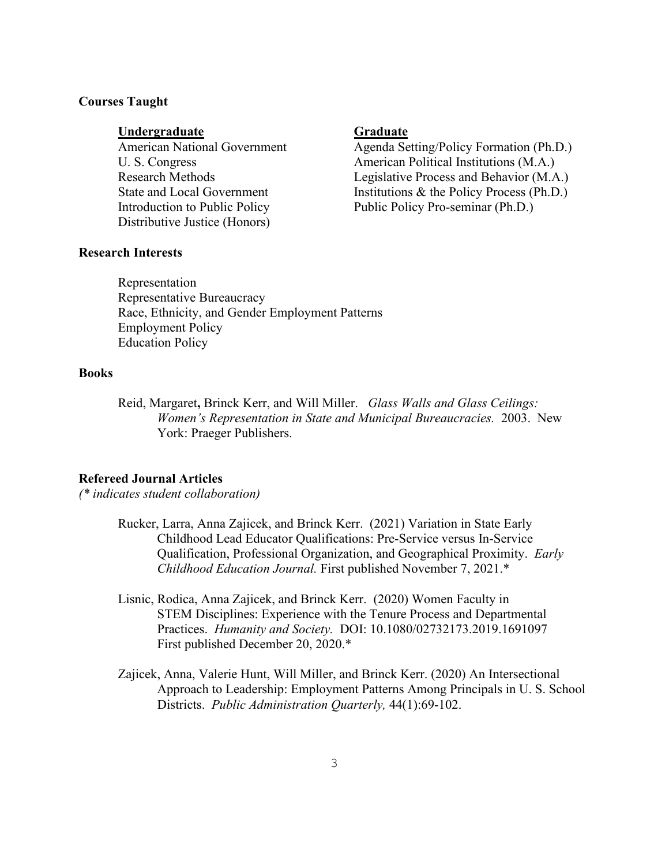# **Courses Taught**

# **Undergraduate Graduate**

Distributive Justice (Honors)

# **Research Interests**

American National Government Agenda Setting/Policy Formation (Ph.D.) U. S. Congress American Political Institutions (M.A.) Research Methods Legislative Process and Behavior (M.A.) State and Local Government Institutions & the Policy Process (Ph.D.) Introduction to Public Policy Public Policy Pro-seminar (Ph.D.)

Representation Representative Bureaucracy Race, Ethnicity, and Gender Employment Patterns Employment Policy Education Policy

# **Books**

Reid, Margaret**,** Brinck Kerr, and Will Miller. *Glass Walls and Glass Ceilings: Women's Representation in State and Municipal Bureaucracies.* 2003. New York: Praeger Publishers.

# **Refereed Journal Articles**

*(\* indicates student collaboration)*

- Rucker, Larra, Anna Zajicek, and Brinck Kerr. (2021) Variation in State Early Childhood Lead Educator Qualifications: Pre-Service versus In-Service Qualification, Professional Organization, and Geographical Proximity. *Early Childhood Education Journal.* First published November 7, 2021.\*
- Lisnic, Rodica, Anna Zajicek, and Brinck Kerr. (2020) Women Faculty in STEM Disciplines: Experience with the Tenure Process and Departmental Practices. *Humanity and Society.* DOI: 10.1080/02732173.2019.1691097 First published December 20, 2020.\*
- Zajicek, Anna, Valerie Hunt, Will Miller, and Brinck Kerr. (2020) An Intersectional Approach to Leadership: Employment Patterns Among Principals in U. S. School Districts. *Public Administration Quarterly,* 44(1):69-102.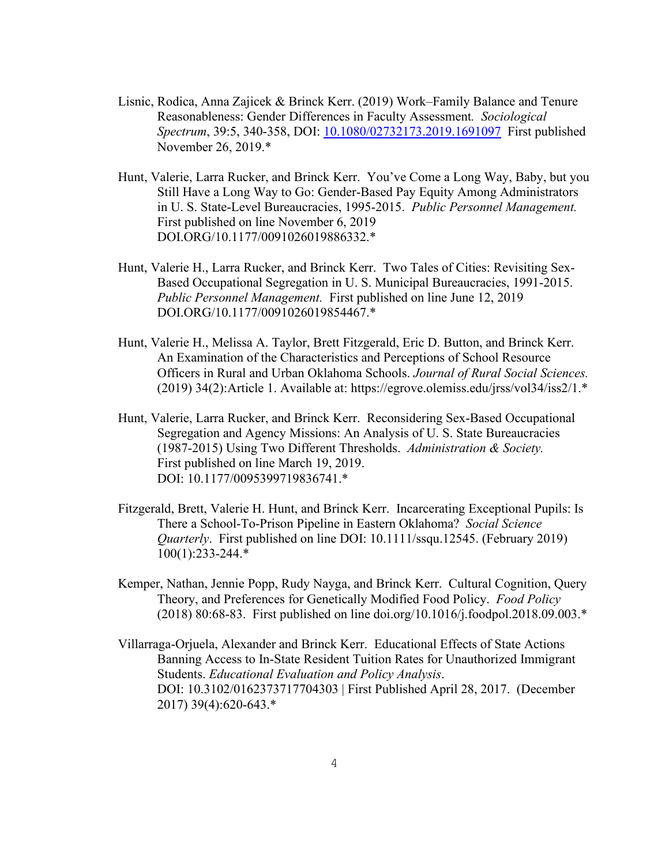- Lisnic, Rodica, Anna Zajicek & Brinck Kerr. (2019) Work–Family Balance and Tenure Reasonableness: Gender Differences in Faculty Assessment*. Sociological Spectrum*, 39:5, 340-358, DOI: [10.1080/02732173.2019.1691097](https://doi.org/10.1080/02732173.2019.1691097) First published November 26, 2019.\*
- Hunt, Valerie, Larra Rucker, and Brinck Kerr. You've Come a Long Way, Baby, but you Still Have a Long Way to Go: Gender-Based Pay Equity Among Administrators in U. S. State-Level Bureaucracies, 1995-2015. *Public Personnel Management.* First published on line November 6, 2019 DOI.ORG/10.1177/0091026019886332.\*
- Hunt, Valerie H., Larra Rucker, and Brinck Kerr. Two Tales of Cities: Revisiting Sex- Based Occupational Segregation in U. S. Municipal Bureaucracies, 1991-2015. *Public Personnel Management.* First published on line June 12, 2019 DOI.ORG/10.1177/0091026019854467.\*
- Hunt, Valerie H., Melissa A. Taylor, Brett Fitzgerald, Eric D. Button, and Brinck Kerr. An Examination of the Characteristics and Perceptions of School Resource Officers in Rural and Urban Oklahoma Schools. *Journal of Rural Social Sciences.*  (2019) 34(2):Article 1. Available at: https://egrove.olemiss.edu/jrss/vol34/iss2/1.\*
- Hunt, Valerie, Larra Rucker, and Brinck Kerr. Reconsidering Sex-Based Occupational Segregation and Agency Missions: An Analysis of U. S. State Bureaucracies (1987-2015) Using Two Different Thresholds. *Administration & Society.*  First published on line March 19, 2019. DOI: 10.1177/0095399719836741.\*
- Fitzgerald, Brett, Valerie H. Hunt, and Brinck Kerr. Incarcerating Exceptional Pupils: Is There a School-To-Prison Pipeline in Eastern Oklahoma? *Social Science Quarterly*. First published on line DOI: 10.1111/ssqu.12545. (February 2019) 100(1):233-244.\*
- Kemper, Nathan, Jennie Popp, Rudy Nayga, and Brinck Kerr. Cultural Cognition, Query Theory, and Preferences for Genetically Modified Food Policy. *Food Policy*  (2018) 80:68-83. First published on line doi.org/10.1016/j.foodpol.2018.09.003.\*
- Villarraga-Orjuela, Alexander and Brinck Kerr. Educational Effects of State Actions Banning Access to In-State Resident Tuition Rates for Unauthorized Immigrant Students. *Educational Evaluation and Policy Analysis*. DOI: 10.3102/0162373717704303 | First Published April 28, 2017. (December 2017) 39(4):620-643.\*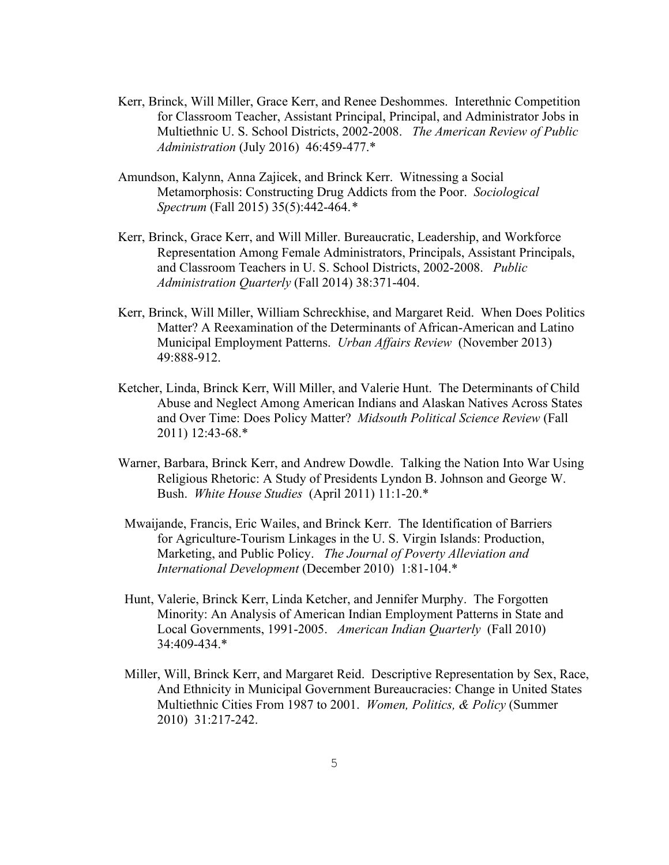- Kerr, Brinck, Will Miller, Grace Kerr, and Renee Deshommes. Interethnic Competition for Classroom Teacher, Assistant Principal, Principal, and Administrator Jobs in Multiethnic U. S. School Districts, 2002-2008. *The American Review of Public Administration* (July 2016) 46:459-477.\*
- Amundson, Kalynn, Anna Zajicek, and Brinck Kerr. Witnessing a Social Metamorphosis: Constructing Drug Addicts from the Poor. *Sociological Spectrum* (Fall 2015) 35(5):442-464.*\**
- Kerr, Brinck, Grace Kerr, and Will Miller. Bureaucratic, Leadership, and Workforce Representation Among Female Administrators, Principals, Assistant Principals, and Classroom Teachers in U. S. School Districts, 2002-2008. *Public Administration Quarterly* (Fall 2014) 38:371-404.
- Kerr, Brinck, Will Miller, William Schreckhise, and Margaret Reid. When Does Politics Matter? A Reexamination of the Determinants of African-American and Latino Municipal Employment Patterns. *Urban Affairs Review* (November 2013) 49:888-912.
- Ketcher, Linda, Brinck Kerr, Will Miller, and Valerie Hunt. The Determinants of Child Abuse and Neglect Among American Indians and Alaskan Natives Across States and Over Time: Does Policy Matter? *Midsouth Political Science Review* (Fall 2011) 12:43-68.\*
- Warner, Barbara, Brinck Kerr, and Andrew Dowdle. Talking the Nation Into War Using Religious Rhetoric: A Study of Presidents Lyndon B. Johnson and George W. Bush. *White House Studies* (April 2011) 11:1-20.\*
- Mwaijande, Francis, Eric Wailes, and Brinck Kerr. The Identification of Barriers for Agriculture-Tourism Linkages in the U. S. Virgin Islands: Production, Marketing, and Public Policy. *The Journal of Poverty Alleviation and International Development* (December 2010) 1:81-104.\*
- Hunt, Valerie, Brinck Kerr, Linda Ketcher, and Jennifer Murphy. The Forgotten Minority: An Analysis of American Indian Employment Patterns in State and Local Governments, 1991-2005. *American Indian Quarterly* (Fall 2010) 34:409-434.\*
- Miller, Will, Brinck Kerr, and Margaret Reid. Descriptive Representation by Sex, Race, And Ethnicity in Municipal Government Bureaucracies: Change in United States Multiethnic Cities From 1987 to 2001. *Women, Politics, & Policy* (Summer 2010) 31:217-242.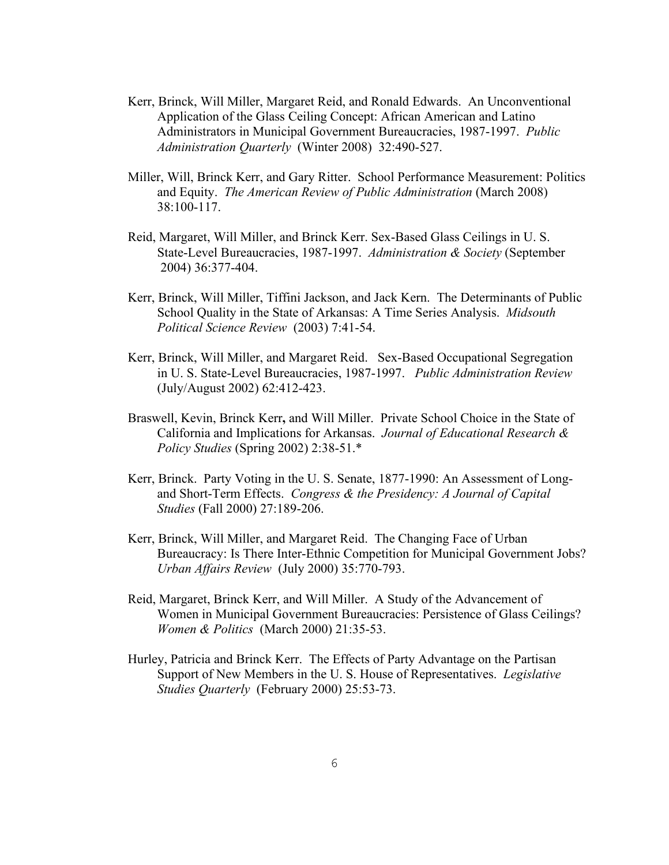- Kerr, Brinck, Will Miller, Margaret Reid, and Ronald Edwards. An Unconventional Application of the Glass Ceiling Concept: African American and Latino Administrators in Municipal Government Bureaucracies, 1987-1997. *Public Administration Quarterly* (Winter 2008) 32:490-527.
- Miller, Will, Brinck Kerr, and Gary Ritter. School Performance Measurement: Politics and Equity. *The American Review of Public Administration* (March 2008) 38:100-117.
- Reid, Margaret, Will Miller, and Brinck Kerr. Sex-Based Glass Ceilings in U. S. State-Level Bureaucracies, 1987-1997. *Administration & Society* (September 2004) 36:377-404.
- Kerr, Brinck, Will Miller, Tiffini Jackson, and Jack Kern. The Determinants of Public School Quality in the State of Arkansas: A Time Series Analysis. *Midsouth Political Science Review* (2003) 7:41-54.
- Kerr, Brinck, Will Miller, and Margaret Reid. Sex-Based Occupational Segregation in U. S. State-Level Bureaucracies, 1987-1997. *Public Administration Review* (July/August 2002) 62:412-423.
- Braswell, Kevin, Brinck Kerr**,** and Will Miller. Private School Choice in the State of California and Implications for Arkansas. *Journal of Educational Research & Policy Studies* (Spring 2002) 2:38-51.\*
- Kerr, Brinck.Party Voting in the U. S. Senate, 1877-1990: An Assessment of Longand Short-Term Effects. *Congress & the Presidency: A Journal of Capital Studies* (Fall 2000) 27:189-206.
- Kerr, Brinck, Will Miller, and Margaret Reid. The Changing Face of Urban Bureaucracy: Is There Inter-Ethnic Competition for Municipal Government Jobs? *Urban Affairs Review* (July 2000) 35:770-793.
- Reid, Margaret, Brinck Kerr, and Will Miller. A Study of the Advancement of Women in Municipal Government Bureaucracies: Persistence of Glass Ceilings? *Women & Politics* (March 2000) 21:35-53.
- Hurley, Patricia and Brinck Kerr.The Effects of Party Advantage on the Partisan Support of New Members in the U. S. House of Representatives. *Legislative Studies Quarterly* (February 2000) 25:53-73.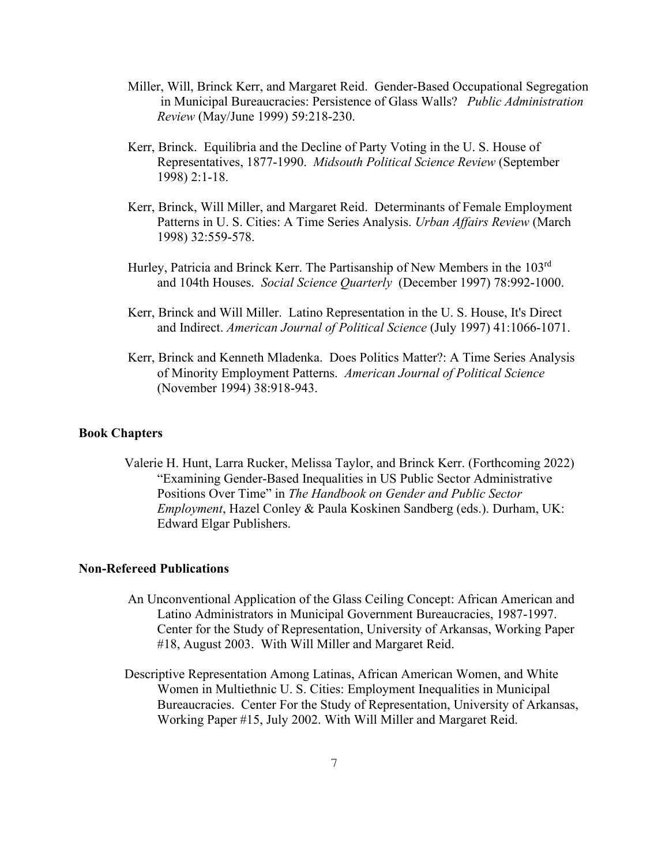- Miller, Will, Brinck Kerr, and Margaret Reid. Gender-Based Occupational Segregation in Municipal Bureaucracies: Persistence of Glass Walls? *Public Administration Review* (May/June 1999) 59:218-230.
- Kerr, Brinck.Equilibria and the Decline of Party Voting in the U. S. House of Representatives, 1877-1990. *Midsouth Political Science Review* (September 1998) 2:1-18.
- Kerr, Brinck, Will Miller, and Margaret Reid. Determinants of Female Employment Patterns in U. S. Cities: A Time Series Analysis. *Urban Affairs Review* (March 1998) 32:559-578.
- Hurley, Patricia and Brinck Kerr. The Partisanship of New Members in the 103rd and 104th Houses. *Social Science Quarterly* (December 1997) 78:992-1000.
- Kerr, Brinck and Will Miller. Latino Representation in the U. S. House, It's Direct and Indirect. *American Journal of Political Science* (July 1997) 41:1066-1071.
- Kerr, Brinck and Kenneth Mladenka. Does Politics Matter?: A Time Series Analysis of Minority Employment Patterns. *American Journal of Political Science* (November 1994) 38:918-943.

# **Book Chapters**

 Valerie H. Hunt, Larra Rucker, Melissa Taylor, and Brinck Kerr. (Forthcoming 2022) "Examining Gender-Based Inequalities in US Public Sector Administrative Positions Over Time" in *The Handbook on Gender and Public Sector Employment*, Hazel Conley & Paula Koskinen Sandberg (eds.). Durham, UK: Edward Elgar Publishers.

#### **Non-Refereed Publications**

- An Unconventional Application of the Glass Ceiling Concept: African American and Latino Administrators in Municipal Government Bureaucracies, 1987-1997. Center for the Study of Representation, University of Arkansas, Working Paper #18, August 2003. With Will Miller and Margaret Reid.
- Descriptive Representation Among Latinas, African American Women, and White Women in Multiethnic U. S. Cities: Employment Inequalities in Municipal Bureaucracies. Center For the Study of Representation, University of Arkansas, Working Paper #15, July 2002. With Will Miller and Margaret Reid.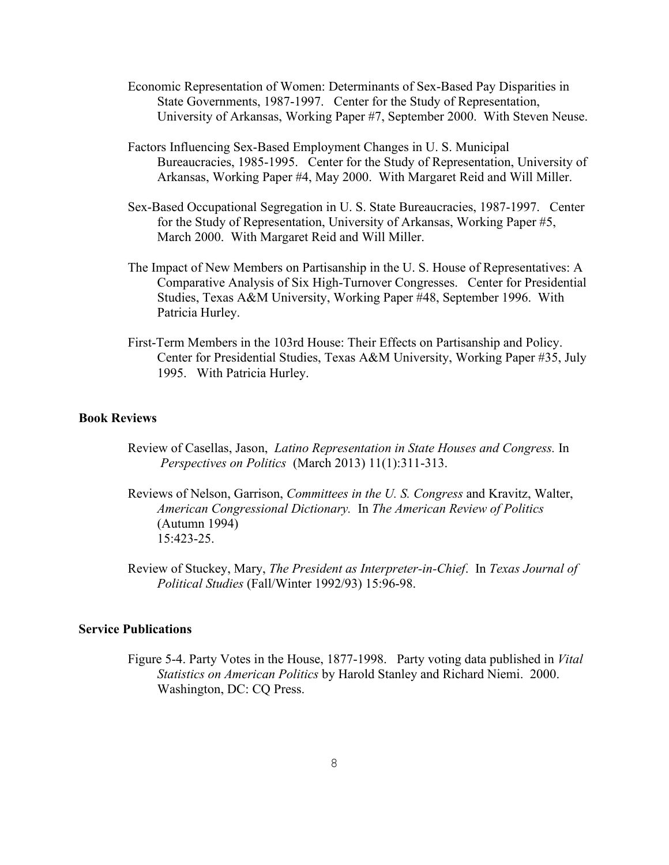- Economic Representation of Women: Determinants of Sex-Based Pay Disparities in State Governments, 1987-1997. Center for the Study of Representation, University of Arkansas, Working Paper #7, September 2000. With Steven Neuse.
- Factors Influencing Sex-Based Employment Changes in U. S. Municipal Bureaucracies, 1985-1995. Center for the Study of Representation, University of Arkansas, Working Paper #4, May 2000. With Margaret Reid and Will Miller.
- Sex-Based Occupational Segregation in U. S. State Bureaucracies, 1987-1997. Center for the Study of Representation, University of Arkansas, Working Paper #5, March 2000. With Margaret Reid and Will Miller.
- The Impact of New Members on Partisanship in the U. S. House of Representatives: A Comparative Analysis of Six High-Turnover Congresses. Center for Presidential Studies, Texas A&M University, Working Paper #48, September 1996. With Patricia Hurley.
- First-Term Members in the 103rd House: Their Effects on Partisanship and Policy. Center for Presidential Studies, Texas A&M University, Working Paper #35, July 1995. With Patricia Hurley.

#### **Book Reviews**

- Review of Casellas, Jason, *Latino Representation in State Houses and Congress.* In *Perspectives on Politics* (March 2013) 11(1):311-313.
- Reviews of Nelson, Garrison, *Committees in the U. S. Congress* and Kravitz, Walter, *American Congressional Dictionary.* In *The American Review of Politics* (Autumn 1994) 15:423-25.
- Review of Stuckey, Mary, *The President as Interpreter-in-Chief*. In *Texas Journal of Political Studies* (Fall/Winter 1992/93) 15:96-98.

# **Service Publications**

Figure 5-4. Party Votes in the House, 1877-1998. Party voting data published in *Vital Statistics on American Politics* by Harold Stanley and Richard Niemi. 2000. Washington, DC: CQ Press.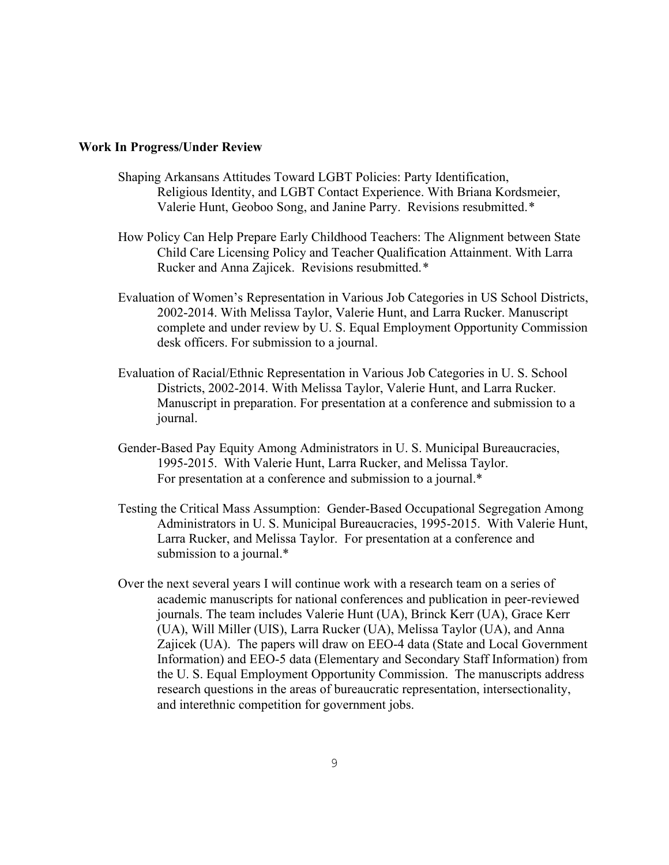#### **Work In Progress/Under Review**

- Shaping Arkansans Attitudes Toward LGBT Policies: Party Identification, Religious Identity, and LGBT Contact Experience. With Briana Kordsmeier, Valerie Hunt, Geoboo Song, and Janine Parry. Revisions resubmitted.*\**
- How Policy Can Help Prepare Early Childhood Teachers: The Alignment between State Child Care Licensing Policy and Teacher Qualification Attainment. With Larra Rucker and Anna Zajicek. Revisions resubmitted.*\**
- Evaluation of Women's Representation in Various Job Categories in US School Districts, 2002-2014. With Melissa Taylor, Valerie Hunt, and Larra Rucker. Manuscript complete and under review by U. S. Equal Employment Opportunity Commission desk officers. For submission to a journal.
- Evaluation of Racial/Ethnic Representation in Various Job Categories in U. S. School Districts, 2002-2014. With Melissa Taylor, Valerie Hunt, and Larra Rucker. Manuscript in preparation. For presentation at a conference and submission to a journal.
- Gender-Based Pay Equity Among Administrators in U. S. Municipal Bureaucracies, 1995-2015. With Valerie Hunt, Larra Rucker, and Melissa Taylor. For presentation at a conference and submission to a journal.\*
- Testing the Critical Mass Assumption: Gender-Based Occupational Segregation Among Administrators in U. S. Municipal Bureaucracies, 1995-2015. With Valerie Hunt, Larra Rucker, and Melissa Taylor. For presentation at a conference and submission to a journal.\*
- Over the next several years I will continue work with a research team on a series of academic manuscripts for national conferences and publication in peer-reviewed journals. The team includes Valerie Hunt (UA), Brinck Kerr (UA), Grace Kerr (UA), Will Miller (UIS), Larra Rucker (UA), Melissa Taylor (UA), and Anna Zajicek (UA). The papers will draw on EEO-4 data (State and Local Government Information) and EEO-5 data (Elementary and Secondary Staff Information) from the U. S. Equal Employment Opportunity Commission. The manuscripts address research questions in the areas of bureaucratic representation, intersectionality, and interethnic competition for government jobs.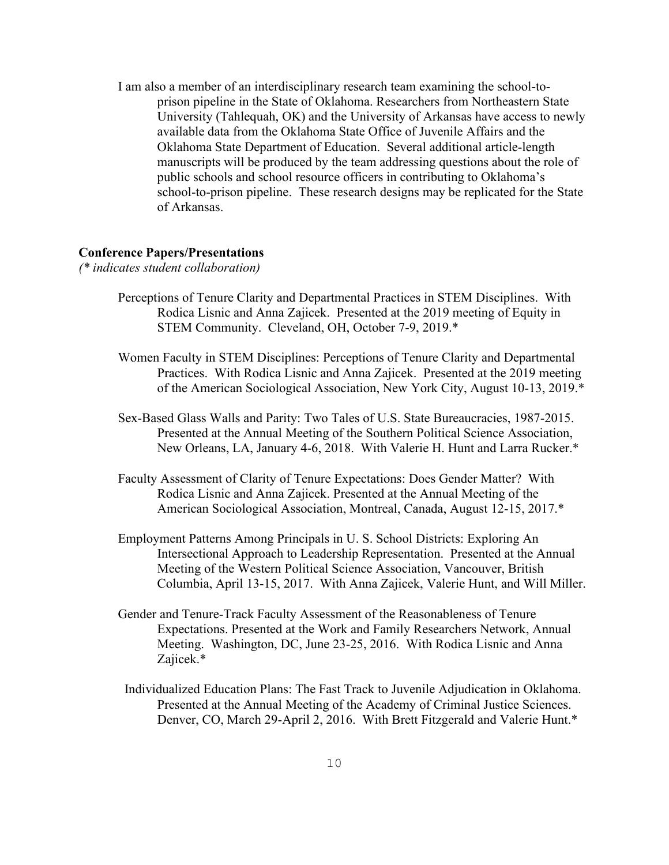I am also a member of an interdisciplinary research team examining the school-toprison pipeline in the State of Oklahoma. Researchers from Northeastern State University (Tahlequah, OK) and the University of Arkansas have access to newly available data from the Oklahoma State Office of Juvenile Affairs and the Oklahoma State Department of Education. Several additional article-length manuscripts will be produced by the team addressing questions about the role of public schools and school resource officers in contributing to Oklahoma's school-to-prison pipeline. These research designs may be replicated for the State of Arkansas.

#### **Conference Papers/Presentations**

- *(\* indicates student collaboration)*
	- Perceptions of Tenure Clarity and Departmental Practices in STEM Disciplines. With Rodica Lisnic and Anna Zajicek. Presented at the 2019 meeting of Equity in STEM Community. Cleveland, OH, October 7-9, 2019.\*
	- Women Faculty in STEM Disciplines: Perceptions of Tenure Clarity and Departmental Practices. With Rodica Lisnic and Anna Zajicek. Presented at the 2019 meeting of the American Sociological Association, New York City, August 10-13, 2019.\*
	- Sex-Based Glass Walls and Parity: Two Tales of U.S. State Bureaucracies, 1987-2015. Presented at the Annual Meeting of the Southern Political Science Association, New Orleans, LA, January 4-6, 2018. With Valerie H. Hunt and Larra Rucker.\*
	- Faculty Assessment of Clarity of Tenure Expectations: Does Gender Matter? With Rodica Lisnic and Anna Zajicek. Presented at the Annual Meeting of the American Sociological Association, Montreal, Canada, August 12-15, 2017.\*
	- Employment Patterns Among Principals in U. S. School Districts: Exploring An Intersectional Approach to Leadership Representation. Presented at the Annual Meeting of the Western Political Science Association, Vancouver, British Columbia, April 13-15, 2017. With Anna Zajicek, Valerie Hunt, and Will Miller.
	- Gender and Tenure-Track Faculty Assessment of the Reasonableness of Tenure Expectations. Presented at the Work and Family Researchers Network, Annual Meeting. Washington, DC, June 23-25, 2016. With Rodica Lisnic and Anna Zajicek.\*
	- Individualized Education Plans: The Fast Track to Juvenile Adjudication in Oklahoma. Presented at the Annual Meeting of the Academy of Criminal Justice Sciences. Denver, CO, March 29-April 2, 2016. With Brett Fitzgerald and Valerie Hunt.\*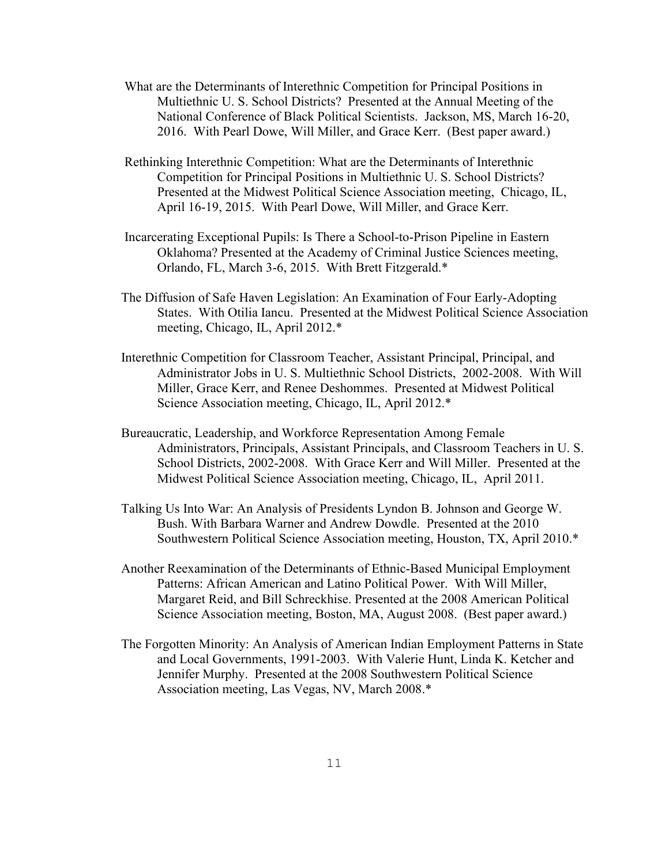- What are the Determinants of Interethnic Competition for Principal Positions in Multiethnic U. S. School Districts? Presented at the Annual Meeting of the National Conference of Black Political Scientists. Jackson, MS, March 16-20, 2016. With Pearl Dowe, Will Miller, and Grace Kerr. (Best paper award.)
- Rethinking Interethnic Competition: What are the Determinants of Interethnic Competition for Principal Positions in Multiethnic U. S. School Districts? Presented at the Midwest Political Science Association meeting, Chicago, IL, April 16-19, 2015. With Pearl Dowe, Will Miller, and Grace Kerr.
- Incarcerating Exceptional Pupils: Is There a School-to-Prison Pipeline in Eastern Oklahoma? Presented at the Academy of Criminal Justice Sciences meeting, Orlando, FL, March 3-6, 2015. With Brett Fitzgerald.\*
- The Diffusion of Safe Haven Legislation: An Examination of Four Early-Adopting States. With Otilia Iancu. Presented at the Midwest Political Science Association meeting, Chicago, IL, April 2012.\*
- Interethnic Competition for Classroom Teacher, Assistant Principal, Principal, and Administrator Jobs in U. S. Multiethnic School Districts, 2002-2008. With Will Miller, Grace Kerr, and Renee Deshommes. Presented at Midwest Political Science Association meeting, Chicago, IL, April 2012.\*
- Bureaucratic, Leadership, and Workforce Representation Among Female Administrators, Principals, Assistant Principals, and Classroom Teachers in U. S. School Districts, 2002-2008. With Grace Kerr and Will Miller. Presented at the Midwest Political Science Association meeting, Chicago, IL, April 2011.
- Talking Us Into War: An Analysis of Presidents Lyndon B. Johnson and George W. Bush. With Barbara Warner and Andrew Dowdle. Presented at the 2010 Southwestern Political Science Association meeting, Houston, TX, April 2010.\*
- Another Reexamination of the Determinants of Ethnic-Based Municipal Employment Patterns: African American and Latino Political Power. With Will Miller, Margaret Reid, and Bill Schreckhise. Presented at the 2008 American Political Science Association meeting, Boston, MA, August 2008. (Best paper award.)
- The Forgotten Minority: An Analysis of American Indian Employment Patterns in State and Local Governments, 1991-2003. With Valerie Hunt, Linda K. Ketcher and Jennifer Murphy. Presented at the 2008 Southwestern Political Science Association meeting, Las Vegas, NV, March 2008.\*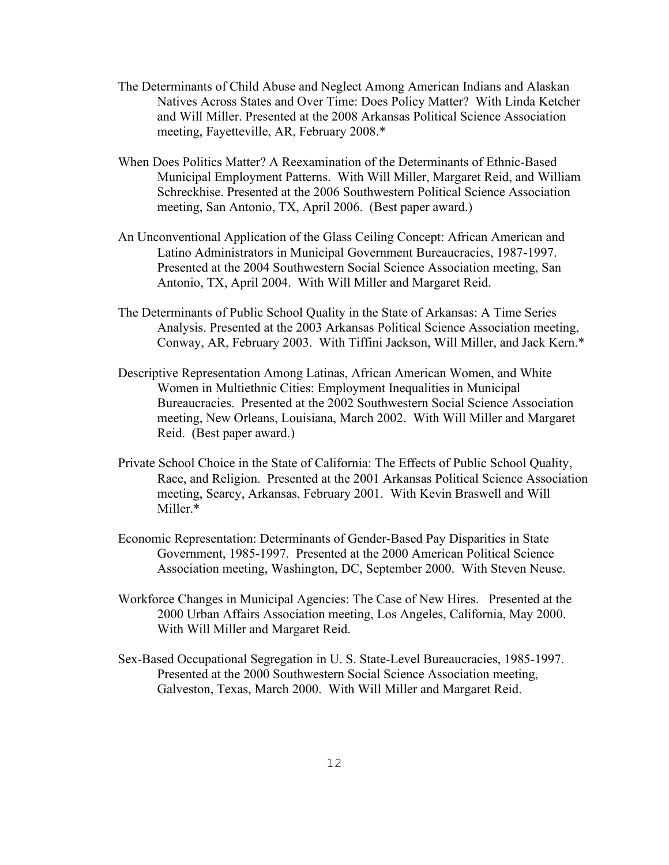- The Determinants of Child Abuse and Neglect Among American Indians and Alaskan Natives Across States and Over Time: Does Policy Matter? With Linda Ketcher and Will Miller. Presented at the 2008 Arkansas Political Science Association meeting, Fayetteville, AR, February 2008.\*
- When Does Politics Matter? A Reexamination of the Determinants of Ethnic-Based Municipal Employment Patterns. With Will Miller, Margaret Reid, and William Schreckhise. Presented at the 2006 Southwestern Political Science Association meeting, San Antonio, TX, April 2006. (Best paper award.)
- An Unconventional Application of the Glass Ceiling Concept: African American and Latino Administrators in Municipal Government Bureaucracies, 1987-1997. Presented at the 2004 Southwestern Social Science Association meeting, San Antonio, TX, April 2004. With Will Miller and Margaret Reid.
- The Determinants of Public School Quality in the State of Arkansas: A Time Series Analysis. Presented at the 2003 Arkansas Political Science Association meeting, Conway, AR, February 2003. With Tiffini Jackson, Will Miller, and Jack Kern.\*
- Descriptive Representation Among Latinas, African American Women, and White Women in Multiethnic Cities: Employment Inequalities in Municipal Bureaucracies. Presented at the 2002 Southwestern Social Science Association meeting, New Orleans, Louisiana, March 2002. With Will Miller and Margaret Reid. (Best paper award.)
- Private School Choice in the State of California: The Effects of Public School Quality, Race, and Religion. Presented at the 2001 Arkansas Political Science Association meeting, Searcy, Arkansas, February 2001. With Kevin Braswell and Will Miller.\*
- Economic Representation: Determinants of Gender-Based Pay Disparities in State Government, 1985-1997. Presented at the 2000 American Political Science Association meeting, Washington, DC, September 2000. With Steven Neuse.
- Workforce Changes in Municipal Agencies: The Case of New Hires. Presented at the 2000 Urban Affairs Association meeting, Los Angeles, California, May 2000. With Will Miller and Margaret Reid.
- Sex-Based Occupational Segregation in U. S. State-Level Bureaucracies, 1985-1997. Presented at the 2000 Southwestern Social Science Association meeting, Galveston, Texas, March 2000. With Will Miller and Margaret Reid.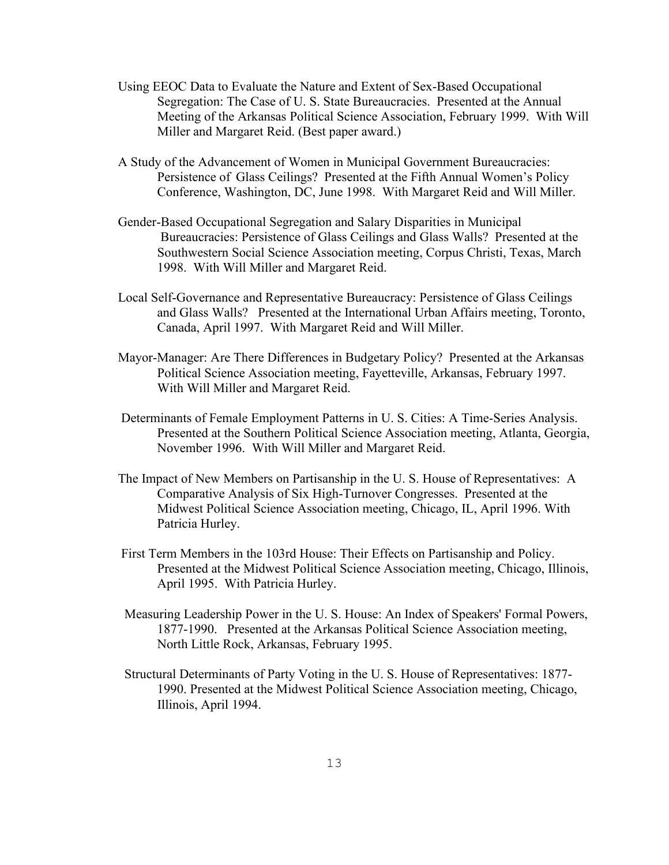- Using EEOC Data to Evaluate the Nature and Extent of Sex-Based Occupational Segregation: The Case of U. S. State Bureaucracies. Presented at the Annual Meeting of the Arkansas Political Science Association, February 1999. With Will Miller and Margaret Reid. (Best paper award.)
- A Study of the Advancement of Women in Municipal Government Bureaucracies: Persistence of Glass Ceilings? Presented at the Fifth Annual Women's Policy Conference, Washington, DC, June 1998. With Margaret Reid and Will Miller.
- Gender-Based Occupational Segregation and Salary Disparities in Municipal Bureaucracies: Persistence of Glass Ceilings and Glass Walls? Presented at the Southwestern Social Science Association meeting, Corpus Christi, Texas, March 1998. With Will Miller and Margaret Reid.
- Local Self-Governance and Representative Bureaucracy: Persistence of Glass Ceilings and Glass Walls? Presented at the International Urban Affairs meeting, Toronto, Canada, April 1997. With Margaret Reid and Will Miller.
- Mayor-Manager: Are There Differences in Budgetary Policy? Presented at the Arkansas Political Science Association meeting, Fayetteville, Arkansas, February 1997. With Will Miller and Margaret Reid.
- Determinants of Female Employment Patterns in U. S. Cities: A Time-Series Analysis. Presented at the Southern Political Science Association meeting, Atlanta, Georgia, November 1996. With Will Miller and Margaret Reid.
- The Impact of New Members on Partisanship in the U. S. House of Representatives: A Comparative Analysis of Six High-Turnover Congresses. Presented at the Midwest Political Science Association meeting, Chicago, IL, April 1996. With Patricia Hurley.
- First Term Members in the 103rd House: Their Effects on Partisanship and Policy. Presented at the Midwest Political Science Association meeting, Chicago, Illinois, April 1995. With Patricia Hurley.
- Measuring Leadership Power in the U. S. House: An Index of Speakers' Formal Powers, 1877-1990. Presented at the Arkansas Political Science Association meeting, North Little Rock, Arkansas, February 1995.
- Structural Determinants of Party Voting in the U. S. House of Representatives: 1877- 1990. Presented at the Midwest Political Science Association meeting, Chicago, Illinois, April 1994.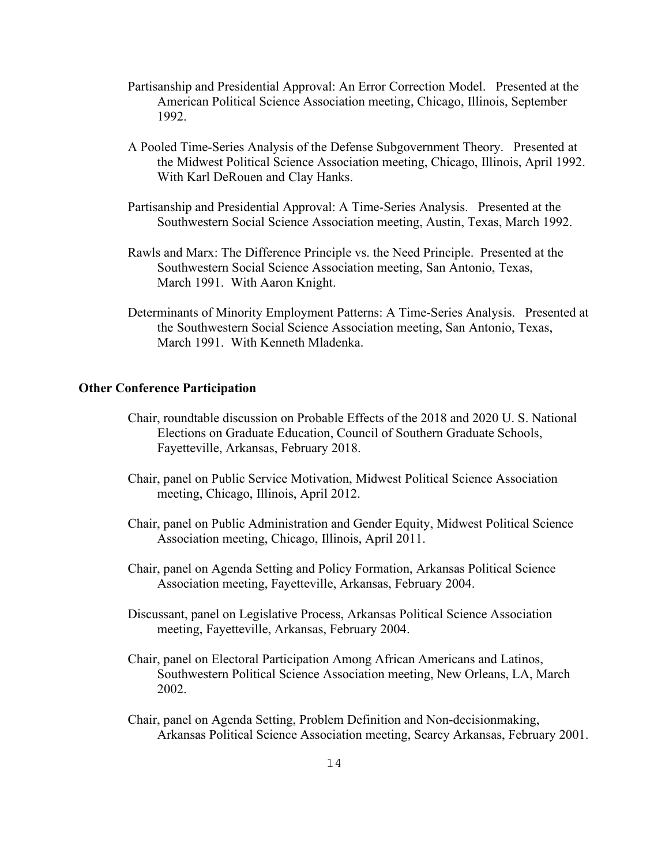- Partisanship and Presidential Approval: An Error Correction Model. Presented at the American Political Science Association meeting, Chicago, Illinois, September 1992.
- A Pooled Time-Series Analysis of the Defense Subgovernment Theory. Presented at the Midwest Political Science Association meeting, Chicago, Illinois, April 1992. With Karl DeRouen and Clay Hanks.
- Partisanship and Presidential Approval: A Time-Series Analysis. Presented at the Southwestern Social Science Association meeting, Austin, Texas, March 1992.
- Rawls and Marx: The Difference Principle vs. the Need Principle. Presented at the Southwestern Social Science Association meeting, San Antonio, Texas, March 1991. With Aaron Knight.
- Determinants of Minority Employment Patterns: A Time-Series Analysis. Presented at the Southwestern Social Science Association meeting, San Antonio, Texas, March 1991. With Kenneth Mladenka.

# **Other Conference Participation**

- Chair, roundtable discussion on Probable Effects of the 2018 and 2020 U. S. National Elections on Graduate Education, Council of Southern Graduate Schools, Fayetteville, Arkansas, February 2018.
- Chair, panel on Public Service Motivation, Midwest Political Science Association meeting, Chicago, Illinois, April 2012.
- Chair, panel on Public Administration and Gender Equity, Midwest Political Science Association meeting, Chicago, Illinois, April 2011.
- Chair, panel on Agenda Setting and Policy Formation, Arkansas Political Science Association meeting, Fayetteville, Arkansas, February 2004.
- Discussant, panel on Legislative Process, Arkansas Political Science Association meeting, Fayetteville, Arkansas, February 2004.
- Chair, panel on Electoral Participation Among African Americans and Latinos, Southwestern Political Science Association meeting, New Orleans, LA, March 2002.
- Chair, panel on Agenda Setting, Problem Definition and Non-decisionmaking, Arkansas Political Science Association meeting, Searcy Arkansas, February 2001.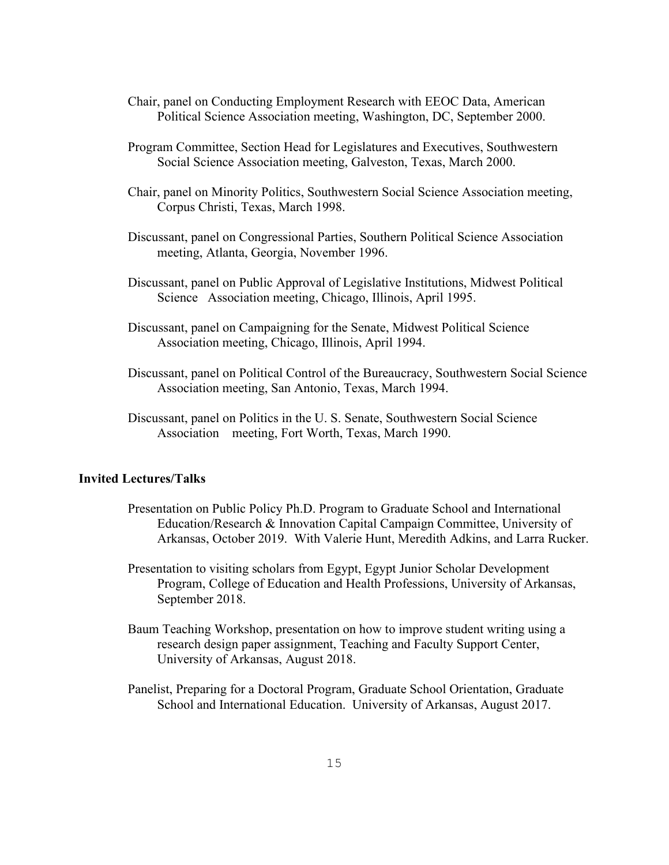- Chair, panel on Conducting Employment Research with EEOC Data, American Political Science Association meeting, Washington, DC, September 2000.
- Program Committee, Section Head for Legislatures and Executives, Southwestern Social Science Association meeting, Galveston, Texas, March 2000.
- Chair, panel on Minority Politics, Southwestern Social Science Association meeting, Corpus Christi, Texas, March 1998.
- Discussant, panel on Congressional Parties, Southern Political Science Association meeting, Atlanta, Georgia, November 1996.
- Discussant, panel on Public Approval of Legislative Institutions, Midwest Political Science Association meeting, Chicago, Illinois, April 1995.
- Discussant, panel on Campaigning for the Senate, Midwest Political Science Association meeting, Chicago, Illinois, April 1994.
- Discussant, panel on Political Control of the Bureaucracy, Southwestern Social Science Association meeting, San Antonio, Texas, March 1994.
- Discussant, panel on Politics in the U. S. Senate, Southwestern Social Science Association meeting, Fort Worth, Texas, March 1990.

# **Invited Lectures/Talks**

- Presentation on Public Policy Ph.D. Program to Graduate School and International Education/Research & Innovation Capital Campaign Committee, University of Arkansas, October 2019. With Valerie Hunt, Meredith Adkins, and Larra Rucker.
- Presentation to visiting scholars from Egypt, Egypt Junior Scholar Development Program, College of Education and Health Professions, University of Arkansas, September 2018.
- Baum Teaching Workshop, presentation on how to improve student writing using a research design paper assignment, Teaching and Faculty Support Center, University of Arkansas, August 2018.
- Panelist, Preparing for a Doctoral Program, Graduate School Orientation, Graduate School and International Education. University of Arkansas, August 2017.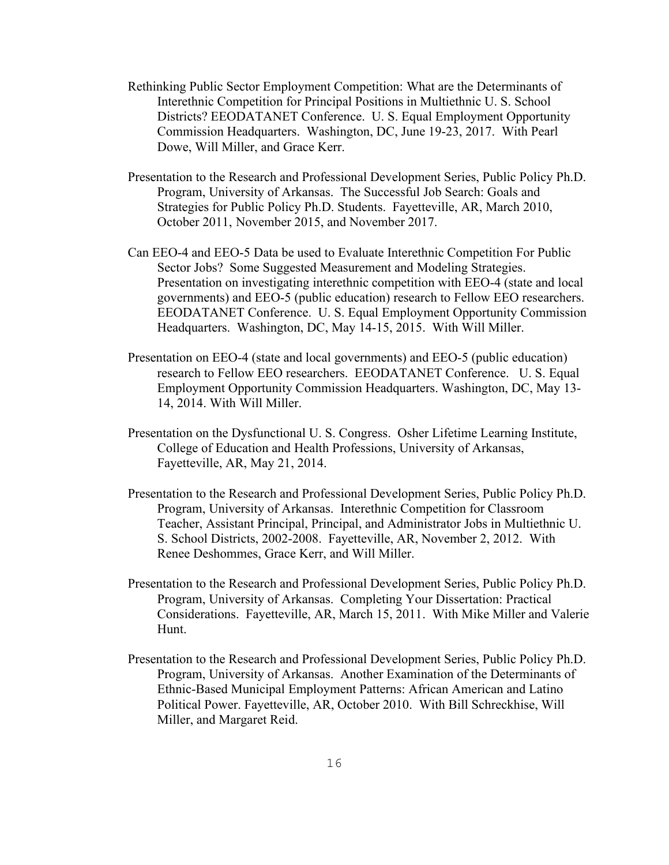- Rethinking Public Sector Employment Competition: What are the Determinants of Interethnic Competition for Principal Positions in Multiethnic U. S. School Districts? EEODATANET Conference. U. S. Equal Employment Opportunity Commission Headquarters. Washington, DC, June 19-23, 2017. With Pearl Dowe, Will Miller, and Grace Kerr.
- Presentation to the Research and Professional Development Series, Public Policy Ph.D. Program, University of Arkansas. The Successful Job Search: Goals and Strategies for Public Policy Ph.D. Students. Fayetteville, AR, March 2010, October 2011, November 2015, and November 2017.
- Can EEO-4 and EEO-5 Data be used to Evaluate Interethnic Competition For Public Sector Jobs? Some Suggested Measurement and Modeling Strategies. Presentation on investigating interethnic competition with EEO-4 (state and local governments) and EEO-5 (public education) research to Fellow EEO researchers. EEODATANET Conference. U. S. Equal Employment Opportunity Commission Headquarters. Washington, DC, May 14-15, 2015. With Will Miller.
- Presentation on EEO-4 (state and local governments) and EEO-5 (public education) research to Fellow EEO researchers. EEODATANET Conference. U. S. Equal Employment Opportunity Commission Headquarters. Washington, DC, May 13- 14, 2014. With Will Miller.
- Presentation on the Dysfunctional U. S. Congress. Osher Lifetime Learning Institute, College of Education and Health Professions, University of Arkansas, Fayetteville, AR, May 21, 2014.
- Presentation to the Research and Professional Development Series, Public Policy Ph.D. Program, University of Arkansas. Interethnic Competition for Classroom Teacher, Assistant Principal, Principal, and Administrator Jobs in Multiethnic U. S. School Districts, 2002-2008. Fayetteville, AR, November 2, 2012. With Renee Deshommes, Grace Kerr, and Will Miller.
- Presentation to the Research and Professional Development Series, Public Policy Ph.D. Program, University of Arkansas. Completing Your Dissertation: Practical Considerations. Fayetteville, AR, March 15, 2011. With Mike Miller and Valerie Hunt.
- Presentation to the Research and Professional Development Series, Public Policy Ph.D. Program, University of Arkansas. Another Examination of the Determinants of Ethnic-Based Municipal Employment Patterns: African American and Latino Political Power. Fayetteville, AR, October 2010. With Bill Schreckhise, Will Miller, and Margaret Reid.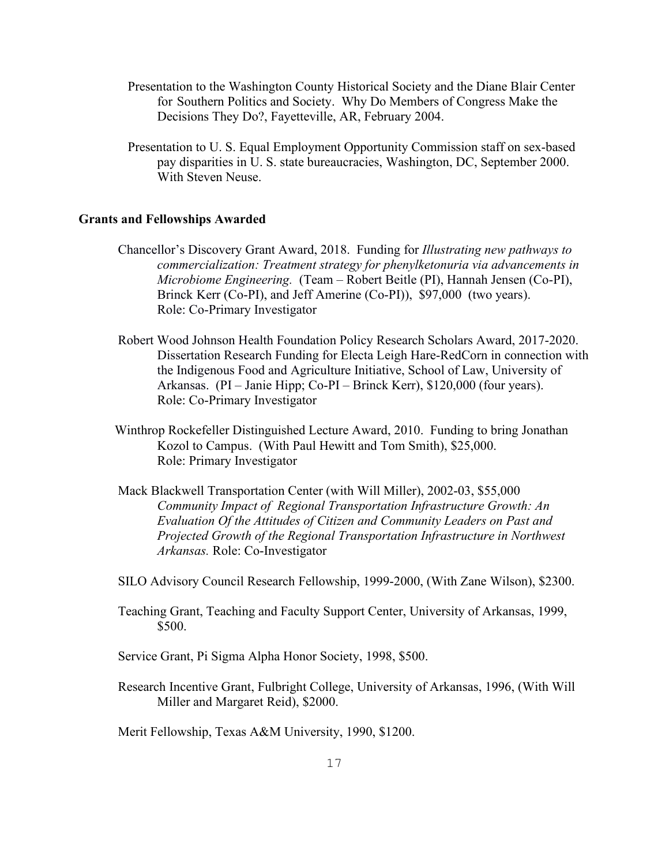- Presentation to the Washington County Historical Society and the Diane Blair Center for Southern Politics and Society. Why Do Members of Congress Make the Decisions They Do?, Fayetteville, AR, February 2004.
- Presentation to U. S. Equal Employment Opportunity Commission staff on sex-based pay disparities in U. S. state bureaucracies, Washington, DC, September 2000. With Steven Neuse.

#### **Grants and Fellowships Awarded**

- Chancellor's Discovery Grant Award, 2018. Funding for *Illustrating new pathways to commercialization: Treatment strategy for phenylketonuria via advancements in Microbiome Engineering.* (Team – Robert Beitle (PI), Hannah Jensen (Co-PI), Brinck Kerr (Co-PI), and Jeff Amerine (Co-PI)), \$97,000 (two years). Role: Co-Primary Investigator
- Robert Wood Johnson Health Foundation Policy Research Scholars Award, 2017-2020. Dissertation Research Funding for Electa Leigh Hare-RedCorn in connection with the Indigenous Food and Agriculture Initiative, School of Law, University of Arkansas. (PI – Janie Hipp; Co-PI – Brinck Kerr), \$120,000 (four years). Role: Co-Primary Investigator
- Winthrop Rockefeller Distinguished Lecture Award, 2010. Funding to bring Jonathan Kozol to Campus. (With Paul Hewitt and Tom Smith), \$25,000. Role: Primary Investigator
- Mack Blackwell Transportation Center (with Will Miller), 2002-03, \$55,000 *Community Impact of Regional Transportation Infrastructure Growth: An Evaluation Of the Attitudes of Citizen and Community Leaders on Past and Projected Growth of the Regional Transportation Infrastructure in Northwest Arkansas.* Role: Co-Investigator

SILO Advisory Council Research Fellowship, 1999-2000, (With Zane Wilson), \$2300.

- Teaching Grant, Teaching and Faculty Support Center, University of Arkansas, 1999, \$500.
- Service Grant, Pi Sigma Alpha Honor Society, 1998, \$500.
- Research Incentive Grant, Fulbright College, University of Arkansas, 1996, (With Will Miller and Margaret Reid), \$2000.

Merit Fellowship, Texas A&M University, 1990, \$1200.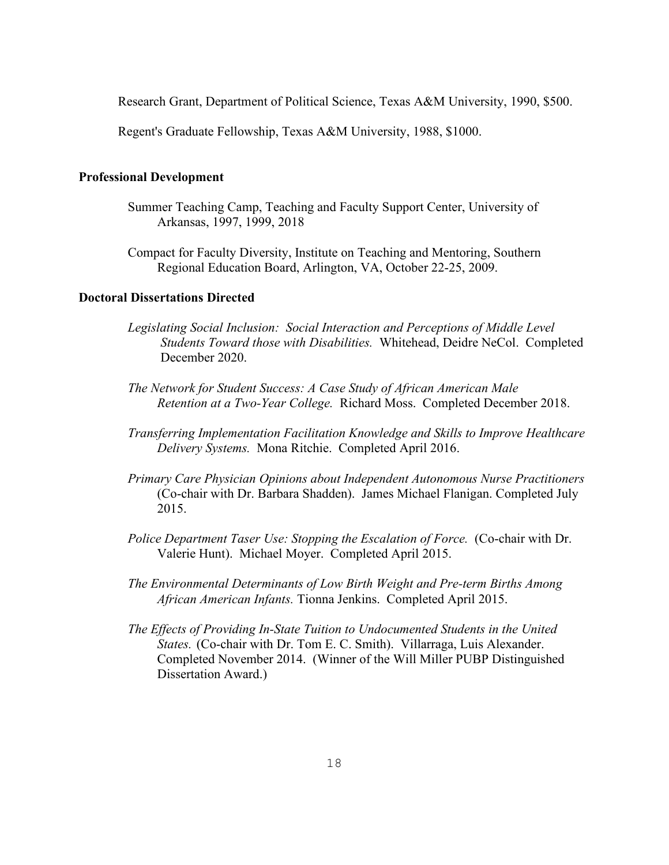Research Grant, Department of Political Science, Texas A&M University, 1990, \$500.

Regent's Graduate Fellowship, Texas A&M University, 1988, \$1000.

# **Professional Development**

- Summer Teaching Camp, Teaching and Faculty Support Center, University of Arkansas, 1997, 1999, 2018
- Compact for Faculty Diversity, Institute on Teaching and Mentoring, Southern Regional Education Board, Arlington, VA, October 22-25, 2009.

# **Doctoral Dissertations Directed**

- *Legislating Social Inclusion: Social Interaction and Perceptions of Middle Level Students Toward those with Disabilities.* Whitehead, Deidre NeCol. Completed December 2020.
- *The Network for Student Success: A Case Study of African American Male Retention at a Two-Year College.* Richard Moss. Completed December 2018.
- *Transferring Implementation Facilitation Knowledge and Skills to Improve Healthcare Delivery Systems.* Mona Ritchie. Completed April 2016.
- *Primary Care Physician Opinions about Independent Autonomous Nurse Practitioners* (Co-chair with Dr. Barbara Shadden). James Michael Flanigan. Completed July 2015.
- *Police Department Taser Use: Stopping the Escalation of Force.* (Co-chair with Dr. Valerie Hunt). Michael Moyer. Completed April 2015.
- *The Environmental Determinants of Low Birth Weight and Pre-term Births Among African American Infants.* Tionna Jenkins. Completed April 2015.
- *The Effects of Providing In-State Tuition to Undocumented Students in the United States.* (Co-chair with Dr. Tom E. C. Smith). Villarraga, Luis Alexander. Completed November 2014. (Winner of the Will Miller PUBP Distinguished Dissertation Award.)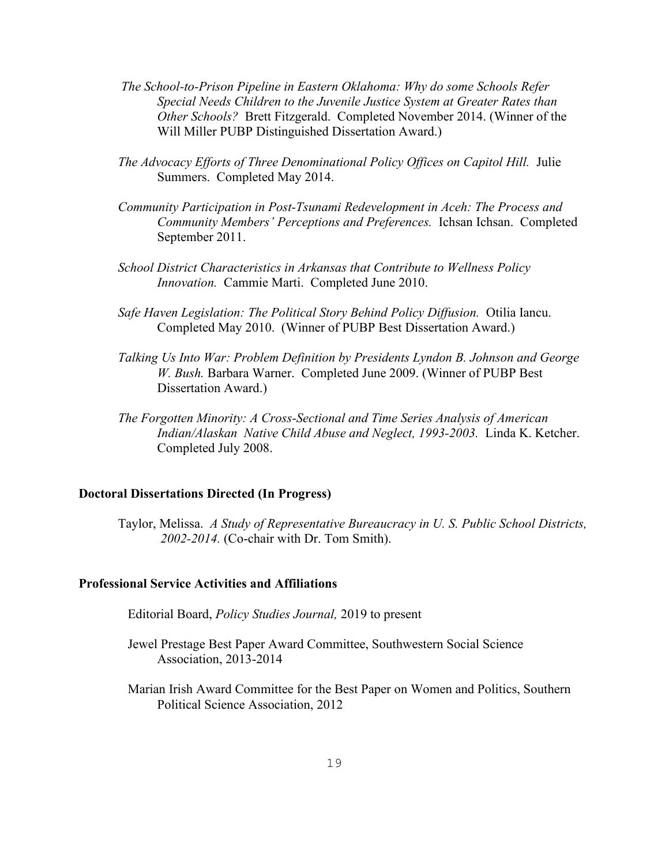- *The School-to-Prison Pipeline in Eastern Oklahoma: Why do some Schools Refer Special Needs Children to the Juvenile Justice System at Greater Rates than Other Schools?* Brett Fitzgerald. Completed November 2014. (Winner of the Will Miller PUBP Distinguished Dissertation Award.)
- *The Advocacy Efforts of Three Denominational Policy Offices on Capitol Hill.* Julie Summers. Completed May 2014.
- *Community Participation in Post-Tsunami Redevelopment in Aceh: The Process and Community Members' Perceptions and Preferences.* Ichsan Ichsan. Completed September 2011.
- *School District Characteristics in Arkansas that Contribute to Wellness Policy Innovation.* Cammie Marti. Completed June 2010.
- *Safe Haven Legislation: The Political Story Behind Policy Diffusion.* Otilia Iancu. Completed May 2010. (Winner of PUBP Best Dissertation Award.)
- *Talking Us Into War: Problem Definition by Presidents Lyndon B. Johnson and George W. Bush.* Barbara Warner. Completed June 2009. (Winner of PUBP Best Dissertation Award.)
- *The Forgotten Minority: A Cross-Sectional and Time Series Analysis of American Indian/Alaskan Native Child Abuse and Neglect, 1993-2003.* Linda K. Ketcher. Completed July 2008.

# **Doctoral Dissertations Directed (In Progress)**

Taylor, Melissa. *A Study of Representative Bureaucracy in U. S. Public School Districts, 2002-2014.* (Co-chair with Dr. Tom Smith).

# **Professional Service Activities and Affiliations**

- Editorial Board, *Policy Studies Journal,* 2019 to present
- Jewel Prestage Best Paper Award Committee, Southwestern Social Science Association, 2013-2014
- Marian Irish Award Committee for the Best Paper on Women and Politics, Southern Political Science Association, 2012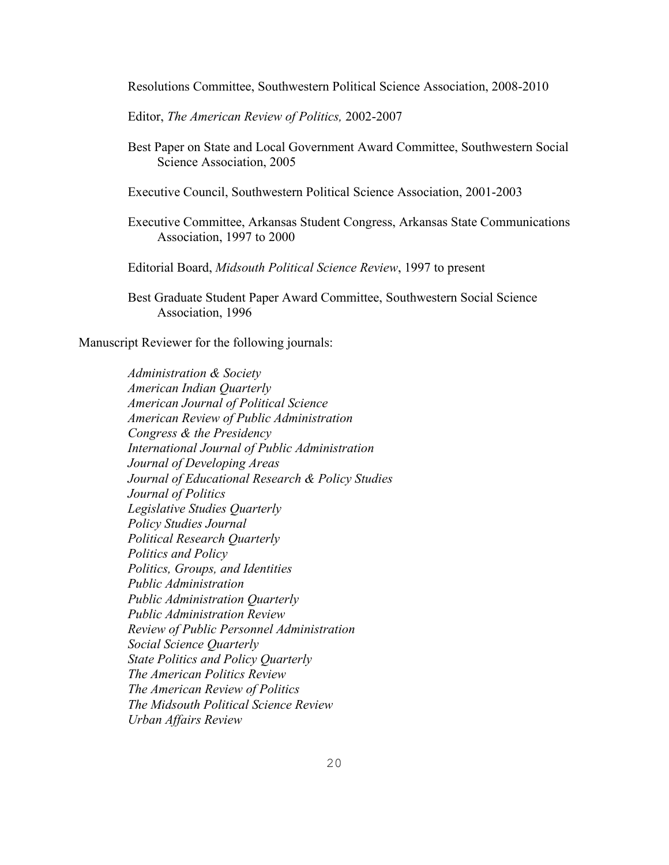Resolutions Committee, Southwestern Political Science Association, 2008-2010

Editor, *The American Review of Politics,* 2002-2007

 Best Paper on State and Local Government Award Committee, Southwestern Social Science Association, 2005

Executive Council, Southwestern Political Science Association, 2001-2003

Executive Committee, Arkansas Student Congress, Arkansas State Communications Association, 1997 to 2000

Editorial Board, *Midsouth Political Science Review*, 1997 to present

Best Graduate Student Paper Award Committee, Southwestern Social Science Association, 1996

Manuscript Reviewer for the following journals:

*Administration & Society American Indian Quarterly American Journal of Political Science American Review of Public Administration Congress & the Presidency International Journal of Public Administration Journal of Developing Areas Journal of Educational Research & Policy Studies Journal of Politics Legislative Studies Quarterly Policy Studies Journal Political Research Quarterly Politics and Policy Politics, Groups, and Identities Public Administration Public Administration Quarterly Public Administration Review Review of Public Personnel Administration Social Science Quarterly State Politics and Policy Quarterly The American Politics Review The American Review of Politics The Midsouth Political Science Review Urban Affairs Review*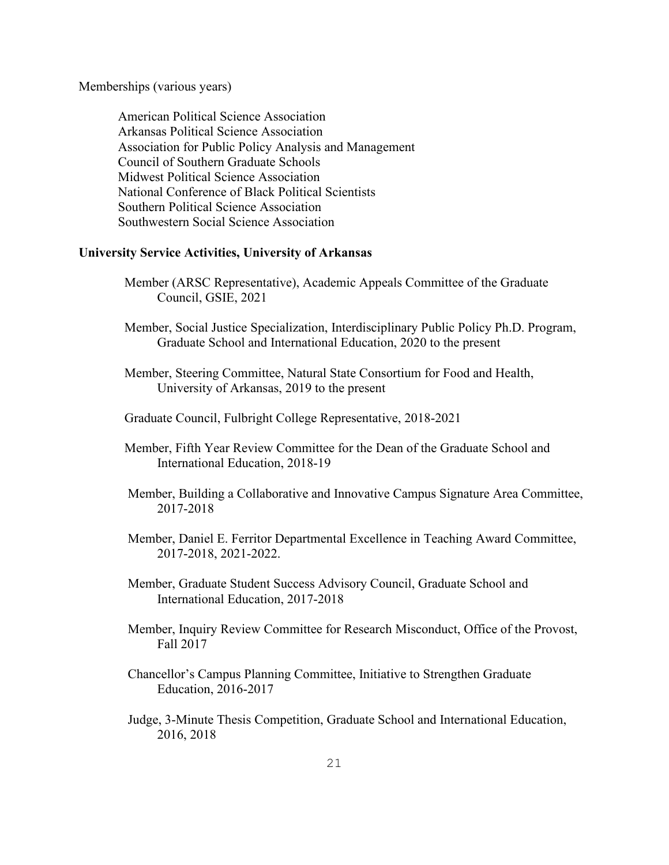Memberships (various years)

American Political Science Association Arkansas Political Science Association Association for Public Policy Analysis and Management Council of Southern Graduate Schools Midwest Political Science Association National Conference of Black Political Scientists Southern Political Science Association Southwestern Social Science Association

# **University Service Activities, University of Arkansas**

 Member (ARSC Representative), Academic Appeals Committee of the Graduate Council, GSIE, 2021

- Member, Social Justice Specialization, Interdisciplinary Public Policy Ph.D. Program, Graduate School and International Education, 2020 to the present
- Member, Steering Committee, Natural State Consortium for Food and Health, University of Arkansas, 2019 to the present
- Graduate Council, Fulbright College Representative, 2018-2021
- Member, Fifth Year Review Committee for the Dean of the Graduate School and International Education, 2018-19
- Member, Building a Collaborative and Innovative Campus Signature Area Committee, 2017-2018
- Member, Daniel E. Ferritor Departmental Excellence in Teaching Award Committee, 2017-2018, 2021-2022.
- Member, Graduate Student Success Advisory Council, Graduate School and International Education, 2017-2018
- Member, Inquiry Review Committee for Research Misconduct, Office of the Provost, Fall 2017
- Chancellor's Campus Planning Committee, Initiative to Strengthen Graduate Education, 2016-2017
- Judge, 3-Minute Thesis Competition, Graduate School and International Education, 2016, 2018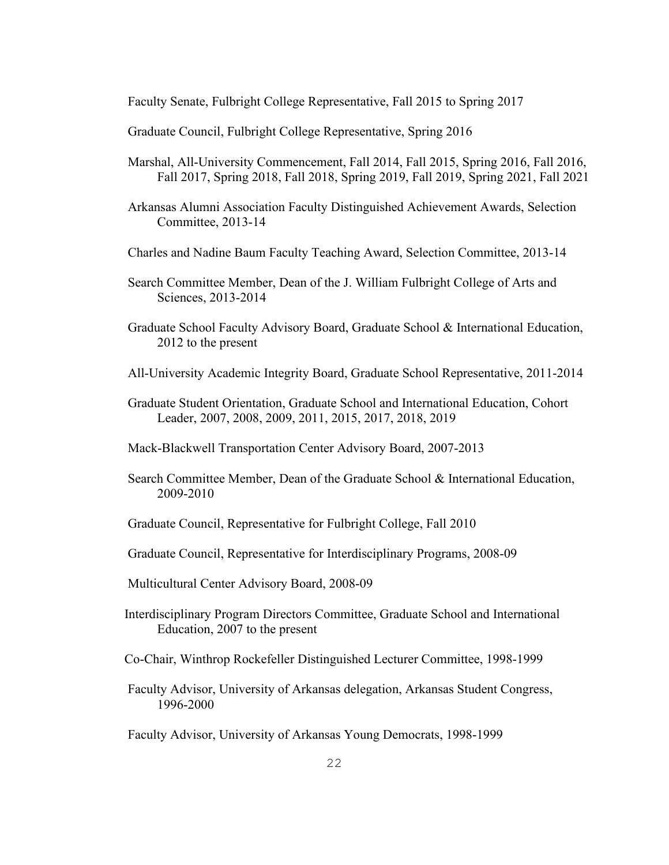Faculty Senate, Fulbright College Representative, Fall 2015 to Spring 2017

Graduate Council, Fulbright College Representative, Spring 2016

- Marshal, All-University Commencement, Fall 2014, Fall 2015, Spring 2016, Fall 2016, Fall 2017, Spring 2018, Fall 2018, Spring 2019, Fall 2019, Spring 2021, Fall 2021
- Arkansas Alumni Association Faculty Distinguished Achievement Awards, Selection Committee, 2013-14
- Charles and Nadine Baum Faculty Teaching Award, Selection Committee, 2013-14
- Search Committee Member, Dean of the J. William Fulbright College of Arts and Sciences, 2013-2014
- Graduate School Faculty Advisory Board, Graduate School & International Education, 2012 to the present
- All-University Academic Integrity Board, Graduate School Representative, 2011-2014
- Graduate Student Orientation, Graduate School and International Education, Cohort Leader, 2007, 2008, 2009, 2011, 2015, 2017, 2018, 2019
- Mack-Blackwell Transportation Center Advisory Board, 2007-2013
- Search Committee Member, Dean of the Graduate School & International Education, 2009-2010
- Graduate Council, Representative for Fulbright College, Fall 2010
- Graduate Council, Representative for Interdisciplinary Programs, 2008-09
- Multicultural Center Advisory Board, 2008-09
- Interdisciplinary Program Directors Committee, Graduate School and International Education, 2007 to the present
- Co-Chair, Winthrop Rockefeller Distinguished Lecturer Committee, 1998-1999
- Faculty Advisor, University of Arkansas delegation, Arkansas Student Congress, 1996-2000
- Faculty Advisor, University of Arkansas Young Democrats, 1998-1999